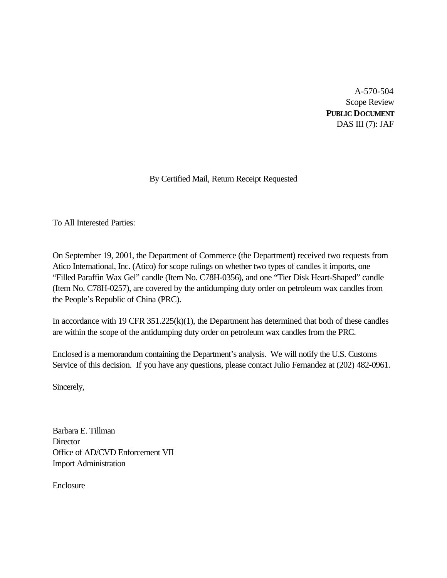A-570-504 Scope Review **PUBLIC DOCUMENT** DAS III $(7)$ : JAF

# By Certified Mail, Return Receipt Requested

To All Interested Parties:

On September 19, 2001, the Department of Commerce (the Department) received two requests from Atico International, Inc. (Atico) for scope rulings on whether two types of candles it imports, one "Filled Paraffin Wax Gel" candle (Item No. C78H-0356), and one "Tier Disk Heart-Shaped" candle (Item No. C78H-0257), are covered by the antidumping duty order on petroleum wax candles from the People's Republic of China (PRC).

In accordance with 19 CFR 351.225(k)(1), the Department has determined that both of these candles are within the scope of the antidumping duty order on petroleum wax candles from the PRC.

Enclosed is a memorandum containing the Department's analysis. We will notify the U.S. Customs Service of this decision. If you have any questions, please contact Julio Fernandez at (202) 482-0961.

Sincerely,

Barbara E. Tillman **Director** Office of AD/CVD Enforcement VII Import Administration

Enclosure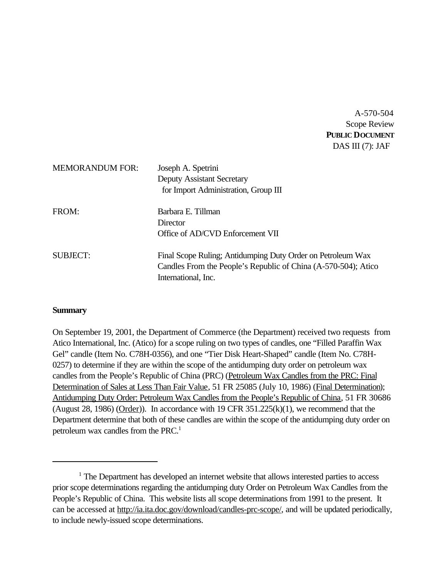A-570-504 Scope Review **PUBLIC DOCUMENT** DAS III (7): JAF

| <b>MEMORANDUM FOR:</b> | Joseph A. Spetrini<br><b>Deputy Assistant Secretary</b><br>for Import Administration, Group III                                                      |
|------------------------|------------------------------------------------------------------------------------------------------------------------------------------------------|
| FROM:                  | Barbara E. Tillman<br>Director<br>Office of AD/CVD Enforcement VII                                                                                   |
| <b>SUBJECT:</b>        | Final Scope Ruling; Antidumping Duty Order on Petroleum Wax<br>Candles From the People's Republic of China (A-570-504); Atico<br>International, Inc. |

### **Summary**

On September 19, 2001, the Department of Commerce (the Department) received two requests from Atico International, Inc. (Atico) for a scope ruling on two types of candles, one "Filled Paraffin Wax Gel" candle (Item No. C78H-0356), and one "Tier Disk Heart-Shaped" candle (Item No. C78H-0257) to determine if they are within the scope of the antidumping duty order on petroleum wax candles from the People's Republic of China (PRC) (Petroleum Wax Candles from the PRC: Final Determination of Sales at Less Than Fair Value, 51 FR 25085 (July 10, 1986) (Final Determination); Antidumping Duty Order: Petroleum Wax Candles from the People's Republic of China, 51 FR 30686 (August 28, 1986) (Order)). In accordance with 19 CFR  $351.225(k)(1)$ , we recommend that the Department determine that both of these candles are within the scope of the antidumping duty order on petroleum wax candles from the PRC.<sup>1</sup>

<sup>&</sup>lt;sup>1</sup> The Department has developed an internet website that allows interested parties to access prior scope determinations regarding the antidumping duty Order on Petroleum Wax Candles from the People's Republic of China. This website lists all scope determinations from 1991 to the present. It can be accessed at http://ia.ita.doc.gov/download/candles-prc-scope/, and will be updated periodically, to include newly-issued scope determinations.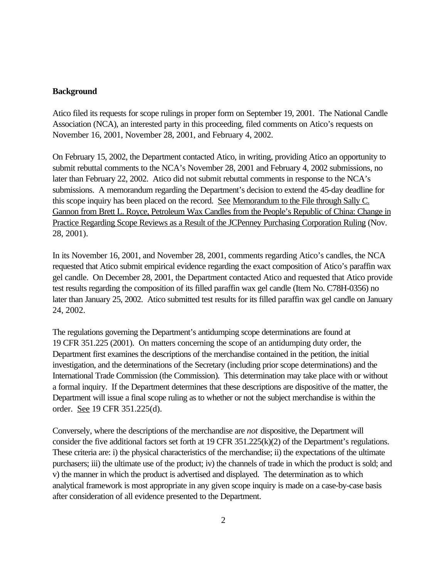### **Background**

Atico filed its requests for scope rulings in proper form on September 19, 2001. The National Candle Association (NCA), an interested party in this proceeding, filed comments on Atico's requests on November 16, 2001, November 28, 2001, and February 4, 2002.

On February 15, 2002, the Department contacted Atico, in writing, providing Atico an opportunity to submit rebuttal comments to the NCA's November 28, 2001 and February 4, 2002 submissions, no later than February 22, 2002. Atico did not submit rebuttal comments in response to the NCA's submissions. A memorandum regarding the Department's decision to extend the 45-day deadline for this scope inquiry has been placed on the record. See Memorandum to the File through Sally C. Gannon from Brett L. Royce, Petroleum Wax Candles from the People's Republic of China: Change in Practice Regarding Scope Reviews as a Result of the JCPenney Purchasing Corporation Ruling (Nov. 28, 2001).

In its November 16, 2001, and November 28, 2001, comments regarding Atico's candles, the NCA requested that Atico submit empirical evidence regarding the exact composition of Atico's paraffin wax gel candle. On December 28, 2001, the Department contacted Atico and requested that Atico provide test results regarding the composition of its filled paraffin wax gel candle (Item No. C78H-0356) no later than January 25, 2002. Atico submitted test results for its filled paraffin wax gel candle on January 24, 2002.

The regulations governing the Department's antidumping scope determinations are found at 19 CFR 351.225 (2001). On matters concerning the scope of an antidumping duty order, the Department first examines the descriptions of the merchandise contained in the petition, the initial investigation, and the determinations of the Secretary (including prior scope determinations) and the International Trade Commission (the Commission). This determination may take place with or without a formal inquiry. If the Department determines that these descriptions are dispositive of the matter, the Department will issue a final scope ruling as to whether or not the subject merchandise is within the order. See 19 CFR 351.225(d).

Conversely, where the descriptions of the merchandise are *not* dispositive, the Department will consider the five additional factors set forth at 19 CFR 351.225(k)(2) of the Department's regulations. These criteria are: i) the physical characteristics of the merchandise; ii) the expectations of the ultimate purchasers; iii) the ultimate use of the product; iv) the channels of trade in which the product is sold; and v) the manner in which the product is advertised and displayed. The determination as to which analytical framework is most appropriate in any given scope inquiry is made on a case-by-case basis after consideration of all evidence presented to the Department.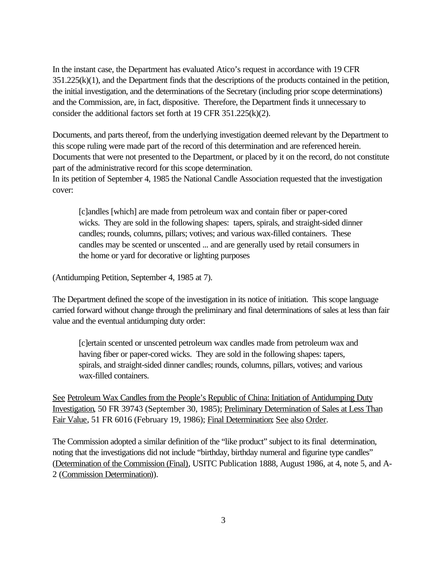In the instant case, the Department has evaluated Atico's request in accordance with 19 CFR 351.225(k)(1), and the Department finds that the descriptions of the products contained in the petition, the initial investigation, and the determinations of the Secretary (including prior scope determinations) and the Commission, are, in fact, dispositive. Therefore, the Department finds it unnecessary to consider the additional factors set forth at 19 CFR 351.225(k)(2).

Documents, and parts thereof, from the underlying investigation deemed relevant by the Department to this scope ruling were made part of the record of this determination and are referenced herein. Documents that were not presented to the Department, or placed by it on the record, do not constitute part of the administrative record for this scope determination. In its petition of September 4, 1985 the National Candle Association requested that the investigation cover:

[c]andles [which] are made from petroleum wax and contain fiber or paper-cored wicks. They are sold in the following shapes: tapers, spirals, and straight-sided dinner candles; rounds, columns, pillars; votives; and various wax-filled containers. These candles may be scented or unscented ... and are generally used by retail consumers in the home or yard for decorative or lighting purposes

(Antidumping Petition, September 4, 1985 at 7).

The Department defined the scope of the investigation in its notice of initiation. This scope language carried forward without change through the preliminary and final determinations of sales at less than fair value and the eventual antidumping duty order:

[c]ertain scented or unscented petroleum wax candles made from petroleum wax and having fiber or paper-cored wicks. They are sold in the following shapes: tapers, spirals, and straight-sided dinner candles; rounds, columns, pillars, votives; and various wax-filled containers.

See Petroleum Wax Candles from the People's Republic of China: Initiation of Antidumping Duty Investigation, 50 FR 39743 (September 30, 1985); Preliminary Determination of Sales at Less Than Fair Value, 51 FR 6016 (February 19, 1986); Final Determination; See also Order.

The Commission adopted a similar definition of the "like product" subject to its final determination, noting that the investigations did not include "birthday, birthday numeral and figurine type candles" (Determination of the Commission (Final), USITC Publication 1888, August 1986, at 4, note 5, and A-2 (Commission Determination)).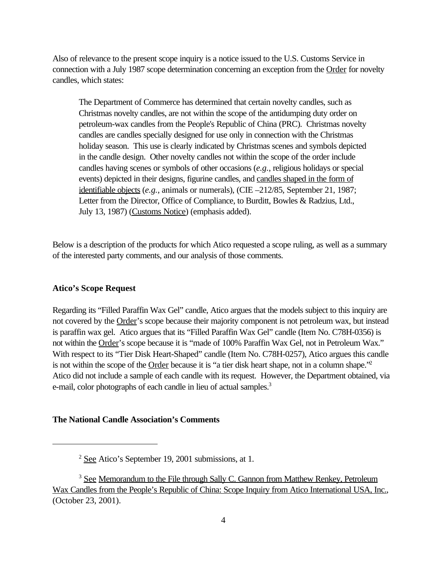Also of relevance to the present scope inquiry is a notice issued to the U.S. Customs Service in connection with a July 1987 scope determination concerning an exception from the Order for novelty candles, which states:

The Department of Commerce has determined that certain novelty candles, such as Christmas novelty candles, are not within the scope of the antidumping duty order on petroleum-wax candles from the People's Republic of China (PRC). Christmas novelty candles are candles specially designed for use only in connection with the Christmas holiday season. This use is clearly indicated by Christmas scenes and symbols depicted in the candle design. Other novelty candles not within the scope of the order include candles having scenes or symbols of other occasions (*e.g.*, religious holidays or special events) depicted in their designs, figurine candles, and candles shaped in the form of identifiable objects (*e.g.*, animals or numerals), (CIE –212/85, September 21, 1987; Letter from the Director, Office of Compliance, to Burditt, Bowles & Radzius, Ltd., July 13, 1987) (Customs Notice) (emphasis added).

Below is a description of the products for which Atico requested a scope ruling, as well as a summary of the interested party comments, and our analysis of those comments.

### **Atico's Scope Request**

Regarding its "Filled Paraffin Wax Gel" candle, Atico argues that the models subject to this inquiry are not covered by the Order's scope because their majority component is not petroleum wax, but instead is paraffin wax gel. Atico argues that its "Filled Paraffin Wax Gel" candle (Item No. C78H-0356) is not within the Order's scope because it is "made of 100% Paraffin Wax Gel, not in Petroleum Wax." With respect to its "Tier Disk Heart-Shaped" candle (Item No. C78H-0257), Atico argues this candle is not within the scope of the Order because it is "a tier disk heart shape, not in a column shape."<sup>2</sup> Atico did not include a sample of each candle with its request. However, the Department obtained, via e-mail, color photographs of each candle in lieu of actual samples.<sup>3</sup>

### **The National Candle Association's Comments**

<sup>2</sup> See Atico's September 19, 2001 submissions, at 1.

<sup>&</sup>lt;sup>3</sup> See Memorandum to the File through Sally C. Gannon from Matthew Renkey, Petroleum Wax Candles from the People's Republic of China: Scope Inquiry from Atico International USA, Inc., (October 23, 2001).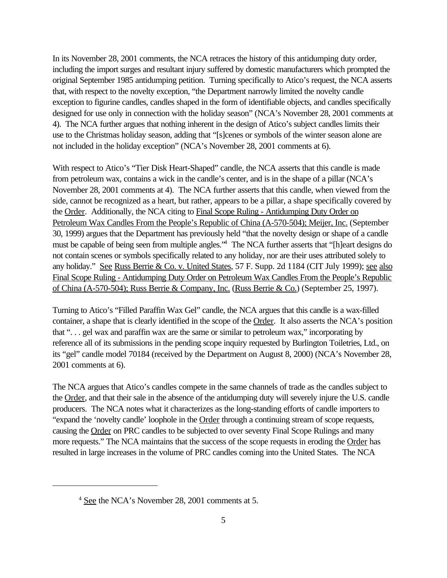In its November 28, 2001 comments, the NCA retraces the history of this antidumping duty order, including the import surges and resultant injury suffered by domestic manufacturers which prompted the original September 1985 antidumping petition. Turning specifically to Atico's request, the NCA asserts that, with respect to the novelty exception, "the Department narrowly limited the novelty candle exception to figurine candles, candles shaped in the form of identifiable objects, and candles specifically designed for use only in connection with the holiday season" (NCA's November 28, 2001 comments at 4). The NCA further argues that nothing inherent in the design of Atico's subject candles limits their use to the Christmas holiday season, adding that "[s]cenes or symbols of the winter season alone are not included in the holiday exception" (NCA's November 28, 2001 comments at 6).

With respect to Atico's "Tier Disk Heart-Shaped" candle, the NCA asserts that this candle is made from petroleum wax, contains a wick in the candle's center, and is in the shape of a pillar (NCA's November 28, 2001 comments at 4). The NCA further asserts that this candle, when viewed from the side, cannot be recognized as a heart, but rather, appears to be a pillar, a shape specifically covered by the Order. Additionally, the NCA citing to Final Scope Ruling - Antidumping Duty Order on Petroleum Wax Candles From the People's Republic of China (A-570-504); Meijer, Inc. (September 30, 1999) argues that the Department has previously held "that the novelty design or shape of a candle must be capable of being seen from multiple angles.<sup>14</sup> The NCA further asserts that "[h]eart designs do not contain scenes or symbols specifically related to any holiday, nor are their uses attributed solely to any holiday." See Russ Berrie & Co. v. United States, 57 F. Supp. 2d 1184 (CIT July 1999); see also Final Scope Ruling - Antidumping Duty Order on Petroleum Wax Candles From the People's Republic of China (A-570-504); Russ Berrie & Company, Inc. (Russ Berrie & Co.) (September 25, 1997).

Turning to Atico's "Filled Paraffin Wax Gel" candle, the NCA argues that this candle is a wax-filled container, a shape that is clearly identified in the scope of the Order. It also asserts the NCA's position that ". . . gel wax and paraffin wax are the same or similar to petroleum wax," incorporating by reference all of its submissions in the pending scope inquiry requested by Burlington Toiletries, Ltd., on its "gel" candle model 70184 (received by the Department on August 8, 2000) (NCA's November 28, 2001 comments at 6).

The NCA argues that Atico's candles compete in the same channels of trade as the candles subject to the Order, and that their sale in the absence of the antidumping duty will severely injure the U.S. candle producers. The NCA notes what it characterizes as the long-standing efforts of candle importers to "expand the 'novelty candle' loophole in the Order through a continuing stream of scope requests, causing the Order on PRC candles to be subjected to over seventy Final Scope Rulings and many more requests." The NCA maintains that the success of the scope requests in eroding the Order has resulted in large increases in the volume of PRC candles coming into the United States. The NCA

<sup>4</sup> See the NCA's November 28, 2001 comments at 5.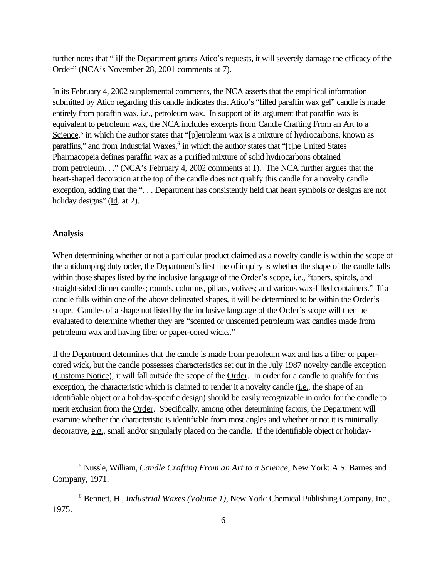further notes that "[i]f the Department grants Atico's requests, it will severely damage the efficacy of the Order" (NCA's November 28, 2001 comments at 7).

In its February 4, 2002 supplemental comments, the NCA asserts that the empirical information submitted by Atico regarding this candle indicates that Atico's "filled paraffin wax gel" candle is made entirely from paraffin wax, i.e., petroleum wax. In support of its argument that paraffin wax is equivalent to petroleum wax, the NCA includes excerpts from Candle Crafting From an Art to a Science,<sup>5</sup> in which the author states that "[p]etroleum wax is a mixture of hydrocarbons, known as paraffins," and from *Industrial Waxes*,<sup>6</sup> in which the author states that "[t]he United States Pharmacopeia defines paraffin wax as a purified mixture of solid hydrocarbons obtained from petroleum. . ." (NCA's February 4, 2002 comments at 1). The NCA further argues that the heart-shaped decoration at the top of the candle does not qualify this candle for a novelty candle exception, adding that the "... Department has consistently held that heart symbols or designs are not holiday designs" (Id. at 2).

#### **Analysis**

When determining whether or not a particular product claimed as a novelty candle is within the scope of the antidumping duty order, the Department's first line of inquiry is whether the shape of the candle falls within those shapes listed by the inclusive language of the Order's scope, i.e., "tapers, spirals, and straight-sided dinner candles; rounds, columns, pillars, votives; and various wax-filled containers." If a candle falls within one of the above delineated shapes, it will be determined to be within the Order's scope. Candles of a shape not listed by the inclusive language of the Order's scope will then be evaluated to determine whether they are "scented or unscented petroleum wax candles made from petroleum wax and having fiber or paper-cored wicks."

If the Department determines that the candle is made from petroleum wax and has a fiber or papercored wick, but the candle possesses characteristics set out in the July 1987 novelty candle exception (Customs Notice), it will fall outside the scope of the Order. In order for a candle to qualify for this exception, the characteristic which is claimed to render it a novelty candle (i.e., the shape of an identifiable object or a holiday-specific design) should be easily recognizable in order for the candle to merit exclusion from the Order. Specifically, among other determining factors, the Department will examine whether the characteristic is identifiable from most angles and whether or not it is minimally decorative, e.g., small and/or singularly placed on the candle. If the identifiable object or holiday-

<sup>5</sup> Nussle, William, *Candle Crafting From an Art to a Science*, New York: A.S. Barnes and Company, 1971.

<sup>6</sup> Bennett, H., *Industrial Waxes (Volume 1)*, New York: Chemical Publishing Company, Inc., 1975.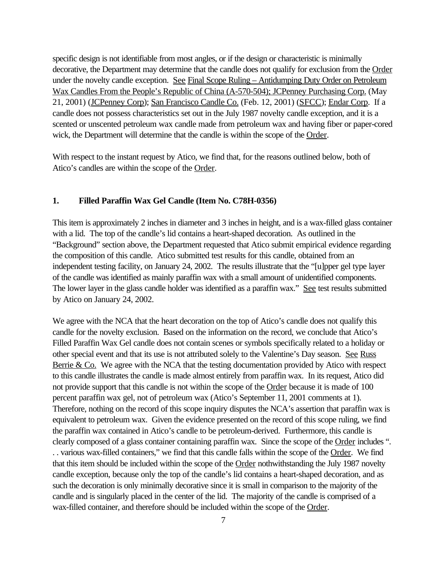specific design is not identifiable from most angles, or if the design or characteristic is minimally decorative, the Department may determine that the candle does not qualify for exclusion from the Order under the novelty candle exception. See Final Scope Ruling – Antidumping Duty Order on Petroleum Wax Candles From the People's Republic of China (A-570-504); JCPenney Purchasing Corp. (May 21, 2001) (JCPenney Corp); San Francisco Candle Co. (Feb. 12, 2001) (SFCC); Endar Corp. If a candle does not possess characteristics set out in the July 1987 novelty candle exception, and it is a scented or unscented petroleum wax candle made from petroleum wax and having fiber or paper-cored wick, the Department will determine that the candle is within the scope of the Order.

With respect to the instant request by Atico, we find that, for the reasons outlined below, both of Atico's candles are within the scope of the Order.

#### **1. Filled Paraffin Wax Gel Candle (Item No. C78H-0356)**

This item is approximately 2 inches in diameter and 3 inches in height, and is a wax-filled glass container with a lid. The top of the candle's lid contains a heart-shaped decoration. As outlined in the "Background" section above, the Department requested that Atico submit empirical evidence regarding the composition of this candle. Atico submitted test results for this candle, obtained from an independent testing facility, on January 24, 2002. The results illustrate that the "[u]pper gel type layer of the candle was identified as mainly paraffin wax with a small amount of unidentified components. The lower layer in the glass candle holder was identified as a paraffin wax." See test results submitted by Atico on January 24, 2002.

We agree with the NCA that the heart decoration on the top of Atico's candle does not qualify this candle for the novelty exclusion. Based on the information on the record, we conclude that Atico's Filled Paraffin Wax Gel candle does not contain scenes or symbols specifically related to a holiday or other special event and that its use is not attributed solely to the Valentine's Day season. See Russ Berrie  $& Co.$  We agree with the NCA that the testing documentation provided by Atico with respect to this candle illustrates the candle is made almost entirely from paraffin wax. In its request, Atico did not provide support that this candle is not within the scope of the Order because it is made of 100 percent paraffin wax gel, not of petroleum wax (Atico's September 11, 2001 comments at 1). Therefore, nothing on the record of this scope inquiry disputes the NCA's assertion that paraffin wax is equivalent to petroleum wax. Given the evidence presented on the record of this scope ruling, we find the paraffin wax contained in Atico's candle to be petroleum-derived. Furthermore, this candle is clearly composed of a glass container containing paraffin wax. Since the scope of the Order includes ". . . various wax-filled containers," we find that this candle falls within the scope of the Order. We find that this item should be included within the scope of the Order nothwithstanding the July 1987 novelty candle exception, because only the top of the candle's lid contains a heart-shaped decoration, and as such the decoration is only minimally decorative since it is small in comparison to the majority of the candle and is singularly placed in the center of the lid. The majority of the candle is comprised of a wax-filled container, and therefore should be included within the scope of the Order.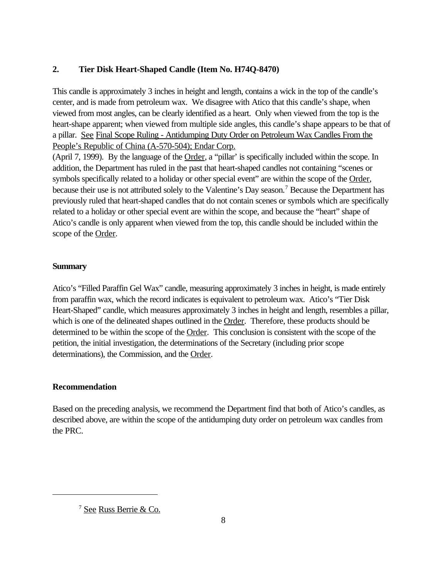# **2. Tier Disk Heart-Shaped Candle (Item No. H74Q-8470)**

This candle is approximately 3 inches in height and length, contains a wick in the top of the candle's center, and is made from petroleum wax. We disagree with Atico that this candle's shape, when viewed from most angles, can be clearly identified as a heart. Only when viewed from the top is the heart-shape apparent; when viewed from multiple side angles, this candle's shape appears to be that of a pillar. See Final Scope Ruling - Antidumping Duty Order on Petroleum Wax Candles From the People's Republic of China (A-570-504); Endar Corp.

(April 7, 1999). By the language of the Order, a "pillar' is specifically included within the scope. In addition, the Department has ruled in the past that heart-shaped candles not containing "scenes or symbols specifically related to a holiday or other special event" are within the scope of the Order, because their use is not attributed solely to the Valentine's Day season.<sup>7</sup> Because the Department has previously ruled that heart-shaped candles that do not contain scenes or symbols which are specifically related to a holiday or other special event are within the scope, and because the "heart" shape of Atico's candle is only apparent when viewed from the top, this candle should be included within the scope of the Order.

# **Summary**

Atico's "Filled Paraffin Gel Wax" candle, measuring approximately 3 inches in height, is made entirely from paraffin wax, which the record indicates is equivalent to petroleum wax. Atico's "Tier Disk Heart-Shaped" candle, which measures approximately 3 inches in height and length, resembles a pillar, which is one of the delineated shapes outlined in the Order. Therefore, these products should be determined to be within the scope of the Order. This conclusion is consistent with the scope of the petition, the initial investigation, the determinations of the Secretary (including prior scope determinations), the Commission, and the Order.

# **Recommendation**

Based on the preceding analysis, we recommend the Department find that both of Atico's candles, as described above, are within the scope of the antidumping duty order on petroleum wax candles from the PRC.

<sup>7</sup> See Russ Berrie & Co.